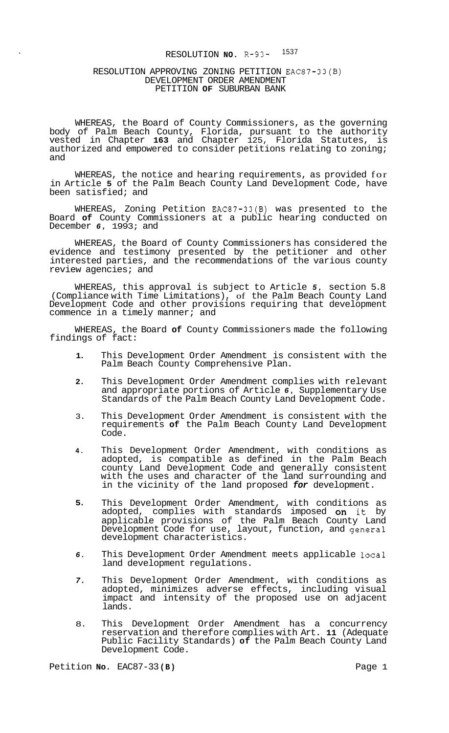# RESOLUTION **NO. R-93-** <sup>1537</sup>

#### RESOLUTION APPROVING ZONING PETITION EAC87-33(B) DEVELOPMENT ORDER AMENDMENT PETITION **OF** SUBURBAN BANK

WHEREAS, the Board of County Commissioners, as the governing body of Palm Beach County, Florida, pursuant to the authority vested in Chapter **163** and Chapter 125, Florida Statutes, is authorized and empowered to consider petitions relating to zoning; and

WHEREAS, the notice and hearing requirements, as provided for in Article **5** of the Palm Beach County Land Development Code, have been satisfied; and

WHEREAS, Zoning Petition EAC87-33(B) was presented to the Board **of** County Commissioners at a public hearing conducted on December *6,* 1993; and

WHEREAS, the Board of County Commissioners has considered the evidence and testimony presented by the petitioner and other interested parties, and the recommendations of the various county review agencies; and

WHEREAS, this approval is subject to Article *5,* section 5.8 (Compliance with Time Limitations), of the Palm Beach County Land Development Code and other provisions requiring that development commence in a timely manner; and

WHEREAS, the Board **of** County Commissioners made the following findings of fact:

- **1.**  This Development Order Amendment is consistent with the Palm Beach County Comprehensive Plan.
- **2.**  This Development Order Amendment complies with relevant and appropriate portions of Article *6,* Supplementary Use Standards of the Palm Beach County Land Development Code.
- 3. This Development Order Amendment is consistent with the requirements **of** the Palm Beach County Land Development Code.
- **4.**  This Development Order Amendment, with conditions as adopted, is compatible as defined in the Palm Beach county Land Development Code and generally consistent with the uses and character of the land surrounding and in the vicinity of the land proposed *for* development.
- **5.**  This Development Order Amendment, with conditions as adopted, complies with standards imposed **on** it by applicable provisions of the Palm Beach County Land Development Code for use, layout, function, and general development characteristics.
- *6.*  This Development Order Amendment meets applicable local land development regulations.
- *7.*  This Development Order Amendment, with conditions as adopted, minimizes adverse effects, including visual impact and intensity of the proposed use on adjacent lands.
- 8. This Development Order Amendment has a concurrency reservation and therefore complies with Art. **11** (Adequate Public Facility Standards) **of** the Palm Beach County Land Development Code.

Petition **No.** EAC87-33(B) **Page 1 Page 1**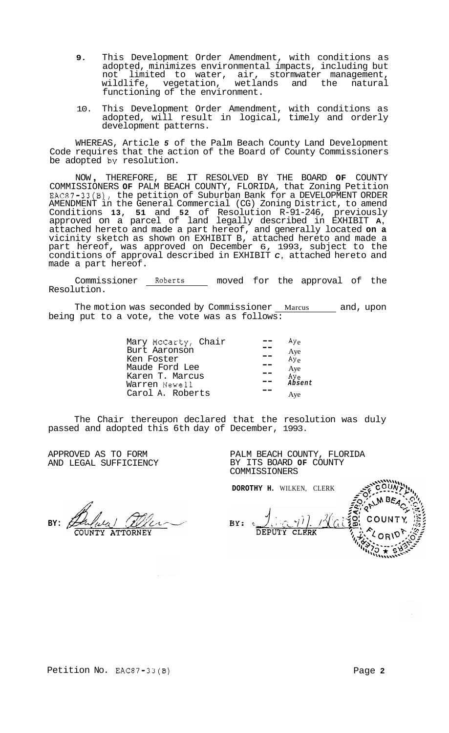- **9.** This Development Order Amendment, with conditions as adopted, minimizes environmental impacts, including but not limited to water, air, stormwater management,<br>wildlife, vegetation, wetlands and the natural wildlife, vegetation, wetlands and the natural functioning of the environment.
- 10. This Development Order Amendment, with conditions as adopted, will result in logical, timely and orderly development patterns.

WHEREAS, Article *5* of the Palm Beach County Land Development Code requires that the action of the Board of County Commissioners be adopted **by** resolution.

NOW , THEREFORE, BE IT RESOLVED BY THE BOARD **OF** COUNTY COMMISSIONERS **OF** PALM BEACH COUNTY, FLORIDA, that Zoning Petition EAC87-33(B), the petition of Suburban Bank for a DEVELOPMENT ORDER AMENDMENT in the General Commercial (CG) Zoning District, to amend Conditions **13, 51** and **52** of Resolution R-91-246, previously approved on a parcel of land legally described in EXHIBIT **A,**  attached hereto and made a part hereof, and generally located **on a**  vicinity sketch as shown on EXHIBIT B, attached hereto and made a part hereof, was approved on December 6, 1993, subject to the conditions of approval described in EXHIBIT *C,* attached hereto and made a part hereof.

Commissioner Roberts moved for the approval of the Resolution.

The motion was seconded by Commissioner Marcus and, upon being put to a vote, the vote was as follows:

| Mary McCarty, Chair | $Ay_{e}$               |
|---------------------|------------------------|
| Burt Aaronson       |                        |
| Ken Foster          | Aye<br>Ay <sub>e</sub> |
| Maude Ford Lee      |                        |
| Karen T. Marcus     | Aye<br>Ay <sub>e</sub> |
| Warren Newell       | Absent                 |
| Carol A. Roberts    | Ave                    |

The Chair thereupon declared that the resolution was duly passed and adopted this 6th day of December, 1993.

APPROVED AS TO FORM AND LEGAL SUFFICIENCY

**BY: ATTORNEY**  PALM BEACH COUNTY, FLORIDA BY ITS BOARD **OF** COUNTY COMMISSIONERS

**DOROTHY H.** WILKEN, CLERK BY: DEPUTY CLERK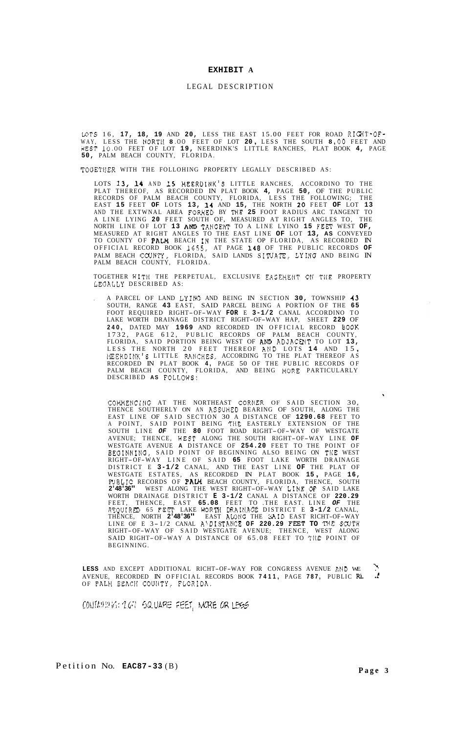#### **EXHIBIT A**

### LEGAL DESCRIPTION

UTS 16, **17, 18, 19** AND **20,** LESS THE EAST 15.00 FEET FOR ROAD RIGHT-OF-WAY, LESS THE NORTlf **8** .OO FEET OF LOT **20** , LESS THE SOUTH **8 .oO** FEET AND WEST **10** .OO FEET OF LOT **19,** NEERDINK'S LITTLE RANCHES, PLAT BOOK **4,** PAGE **50,** PALM BEACH COUNTY, FLORIDA.

TOGETIIER WITH THE FOLLOHING PROPERTY LEGALLY DESCRIBED AS:

LOTS **13, 14** AND **15** HEERDINK'S LITTLE RANCHES, ACCORDINO TO THE PLAT THEREOF, AS RECORDED IN PLAT BOOK **4,** PAGE **50,** OF THE PUBLIC RECORDS OF PALM BEACH COUNTY, FLORIDA, LESS THE FOLLOWING; THE EAST **15** FEET **OF** LOTS **13, 14** AND **15,** THE NORTH **20** FEET **OF** LOT **13**  AND THE EXTWNAL AREA FORMED BY 'IHE **25** FOOT RADIUS ARC TANGENT TO A LINE LYING **20** FEET SOUTH OF, MEASURED AT RIGHT ANGLES TO, THE NORTH LINE OF LOT **13** AND TANGENT TO A LINE LYINO **15** FEFT WEST **OF,**  MEASURED AT RIGHT ANGLES TO THE EAST LINE **OF** LOT **13, AS** CONVEYED TO COUNTY OF PALM BEACH IN THE STATE OP FLORIDA, AS RECORDED IN OFFICIAL RECORD BOOK 1655, AT PAGE **148** OF THE PUBLIC RECORDS **OF**  PALM BEACH COUNTY, FLORIDA, SAID LANDS SITUATE, LYING AND BEING IN PALM BEACH COUNTY, FLORIDA.

TOGETHER WITH THE PERPETUAL, EXCLUSIVE EASEMENT **ON** THE PROPERTY LEOALLY DESCRIBED AS:

, A PARCEL OF LAND LYING AND BEING IN SECTION **30,** TOWNSHIP **43**  SOUTH, RANGE **43** EAST, SAID PARCEL BEING A PORTION OF THE **65**  FOOT REQUIRED RIGHT-OF-WAY **FOR** E **3-1/2** CANAL ACCORDINO TO LAKE WORTH DRAINAGE DISTRICT RIGHT-OF-WAY HAP, SHEET **229** OF **240,** DATED MAY **1969** AND RECORDED IN OFFICIAL RECORD BOOK 1732, PAGE 612, PUBLIC RECORDS OF PALM BEACH COUNTY, FLORIDA, SAID PORTION BEING WEST OF **AND ADJACENT TO LOT 13,**<br>LESS THE NORTH 20 FEET THEREOF AND LOTS **14** AND 15,<br>XEERDINK'S LITTLE RANCHES, ACCORDING TO THE PLAT THEREOF AS RECORDED IN PLAT BOOK **4,** PAGE 50 OF THE PUBLIC RECORDS OF PALM BEACH COUNTY, FLORIDA, AND BEING NORE PARTICULARLY DESCRIBED **AS** FOLLOWS:

COMMENCING AT THE NORTHEAST CORNER OF SAID SECTION 30, THENCE SOUTHERLY ON AN ASSUMED BEARING OF SOUTH, ALONG THE EAST LINE OF SAID SECTION 30 A DISTANCE OF **1290.68** FEET TO A POINT, SAID POINT BEING THE EASTERLY EXTENSION OF THE SOUTH LINE *OF* THE **80** FOOT ROAD RIGHT-OF-WAY OF WESTGATE AVENUE; THENCE, HEST ALONG THE SOUTH RIGHT-OF-WAY LINE **OF**  WESTGATE AVENUE **A** DISTANCE OF **254.20** FEET TO THE POINT OF BEOINNINO, SAID POINT OF BEGINNING ALSO BEING ON TIIE WEST RIGHT-OF-WAY LINE OF SAID **65** FOOT LAKE WORTH DRAINAGE DISTRICT E **3-1/2** CANAL, AND THE EAST LINE **OF** THE PLAT OF WESTGATE ESTATES, AS RECORDED IN PLAT BOOK **15** , [PAGE](#page-15-0) **16, FUBLIC RECORDS OF PALM BEACH COUNTY, FLORIDA, THENCE, SOUTH 2'48'36"** WEST ALONG THE WEST RIGHT-OF-WAY LINE<sub>.</sub>OF SAID LAKE WORTH DRAINAGE DISTRICT **E 3-1/2** CANAL A DISTANCE OF **220.29**  FEET, THENCE, EAST **65.08** FEET TO .THE EAST. LINE *OF* THE RFQUIRED 65 FEEX' LAKE WORTII DRAIIiAGE DISTRICT E **3-1/2** CANAL, THENCE, NORTH **2'48'36"** EAST AtONG THE SAID EAST RICHT-OF-WAY LINE OF E 3-1/2 CANAL A\DISTANCE OF 220.29 FEET TO THE SCUTH RIGHT-OF-WAY OF SAID WESTGATE AVENUE; THENCE, WEST ALONG SAID RIGHT-OF-WAY A DISTANCE OF 65.08 FEET TO TllE POINT OF BEGINNING.

**LESS** AND EXCEPT ADDITIONAL RICHT-OF-WAY FOR CONGRESS AVENUE AND WE ...<br>AVENUE RECORDED IN OFFICIAL RECORDS BOOK **7411** PAGE **787** PURLIC RE ...  $\ddot{\phantom{0}}$ AVENUE, RECORDED IN OFFICIAL RECORDS BOOK **7411,** PAGE **787,** PUBLIC **RL** .! OF PALH BEACH COUNTY, FLORIDA.

CONTAHING: 2.67 SQUARE FEET, MORE OR LESS

 $\bar{a}$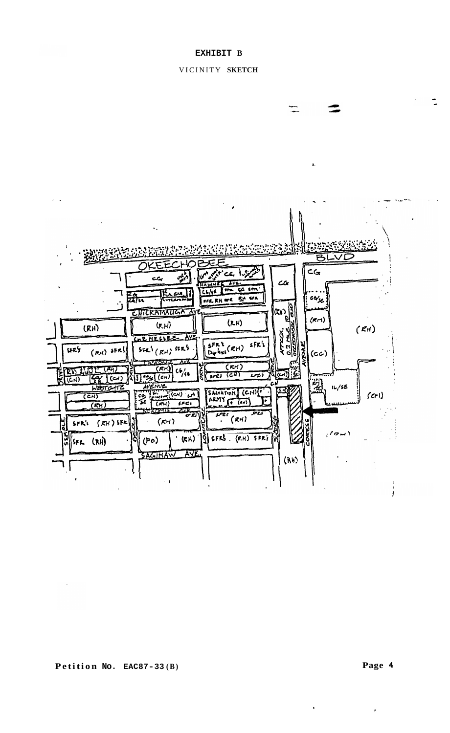# VICINITY **SKETCH**

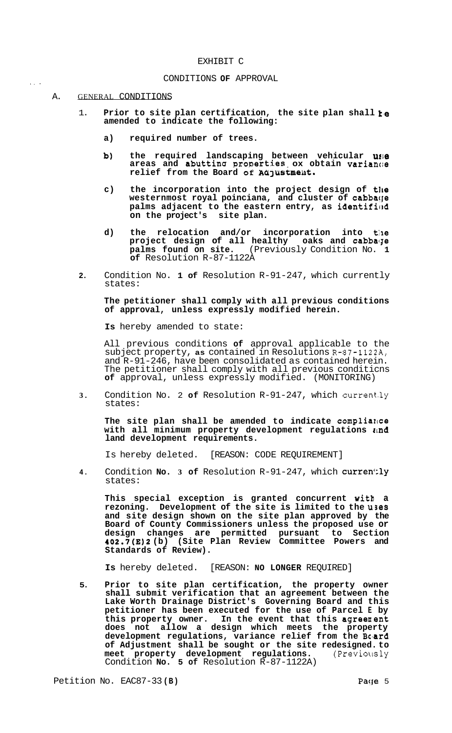#### EXHIBIT C

#### CONDITIONS **OF** APPROVAL

#### A. GENERAL CONDITIONS

.. .

- 1. **Prior to site plan certification, the site plan shall te amended to indicate the following:** 
	- **a) required number of trees.**
	- **b)** the required landscaping between vehicular use  $\alpha$  areas and abutting properties ox obtain variance relief from the Board of Adjustment.
	- c) the incorporation into the project design of the westernmost royal poinciana, and cluster of cabba(je palms adjacent to the eastern entry, as identified **on the project's site plan.**
	- d) the relocation and/or incorporation into the project design of all healthy oaks and cabbage **palms found on site.** (Previously Condition No. **1**  palms found on site. (I<br>of Resolution R-87-1122A
- **2.** Condition No. **1 of** Resolution R-91-247, which currently states:

## **The petitioner shall comply with all previous conditions of approval, unless expressly modified herein.**

**Is** hereby amended to state:

All previous conditions **of** approval applicable to the subject property, as contained in Resolutions R-87-1122A, and R-91-246, have been consolidated as contained herein. The petitioner shall comply with all previous conditicns **of** approval, unless expressly modified. (MONITORING)

**3.** Condition No. 2 **of** Resolution R-91-247, which current.ly states:

**The site plan shall be amended to indicate compliazae**  with all minimum property development regulations  $\iota \cdot \mathbf{n}$ d **land development requirements.** 

Is hereby deleted. [REASON: CODE REQUIREMENT]

**4.** Condition **No. 3 of** Resolution R-91-247, which CUrren':ly states:

**This special exception is granted concurrent witb a rezoning. Development of the site is limited to the uses and site design shown on the site plan approved by the Board of County Commissioners unless the proposed use or design changes are permitted pursuant to Section 402.7(E)2 (b) (Site Plan Review Committee Powers and Standards of Review).** 

**Is** hereby deleted. [REASON: **NO LONGER** REQUIRED]

**5. Prior to site plan certification, the property owner shall submit verification that an agreement between the Lake Worth Drainage District's Governing Board and this petitioner has been executed for the use of Parcel E by**  this property owner. In the event that this agreement **does not allow a design which meets the property development regulations, variance relief from the Bc'ard of Adjustment shall be sought or the site redesigned. to meet property development regulations.** (Previollsly Condition **No. 5 of** Resolution R-87-1122A)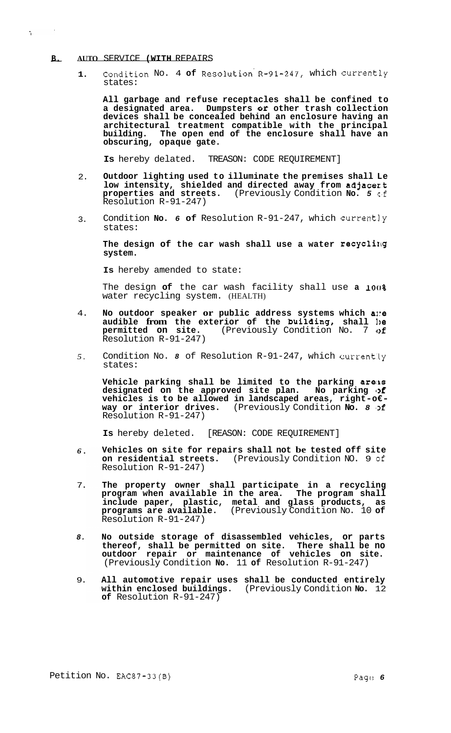# - **B. AUTO** SERVICE **(WITH** REPAIRS

 $\mathbf{A}$ 

**1.**  Condition No. 4 **of** Resolution'R-91-247, which Currently states:

**All garbage and refuse receptacles shall be confined to a designated area. Dumpsters et other trash collection devices shall be concealed behind an enclosure having an architectural treatment compatible with the principal**  The open end of the enclosure shall have an **obscuring, opaque gate.** 

**Is** hereby delated. TREASON: CODE REQUIREMENT]

- 2. **Outdoor lighting used to illuminate the premises shall Le low intensity, shielded and directed away from adjacezt properties and streets.** (Previously Condition **No.** *5* **c'f**  Resolution R-91-247)
- 3. Condition **No.** *6* **of** Resolution R-91-247, which Currently states:

**The design of the car wash shall use a water recyclilg system.** 

**Is** hereby amended to state:

The design of the car wash facility shall use a 100% water recycling system. (HEALTH)

- 4. **No outdoor speaker or public address systems which a~:e**  audible from the exterior of the building, shall be **permitted on site.** (Previously Condition No. 7 **of**  Resolution R-91-247)
- *5.*  Condition No. 8 of Resolution R-91-247, which currently states:

**Vehicle parking shall be limited to the parking areiks**  designated on the approved site plan. No parking of **vehicles is to be allowed in landscaped areas, right-o€- way or interior drives.** (Previously Condition **No. 8** *Df* Resolution R-91-247)

**Is** hereby deleted. [REASON: CODE REQUIREMENT]

- *6.*  **Vehicles on site for repairs shall not be tested off site on residential streets.** (Previously Condition NO. 9 **of**  Resolution R-91-247)
- 7. **The property owner shall participate in a recycling program when available in the area. The program shall include paper, plastic, metal and glass products, as programs are available.** (Previously Condition No. 10 **of**  Resolution R-91-247)
- *8.*  **No outside storage of disassembled vehicles, or parts thereof, shall be permitted on site. There shall be no outdoor repair or maintenance of vehicles on site.**  (Previously Condition **No.** 11 **of** Resolution R-91-247)
- 9. **All automotive repair uses shall be conducted entirely within enclosed buildings.** (Previously Condition **No.** 12 **of** Resolution R-91-247)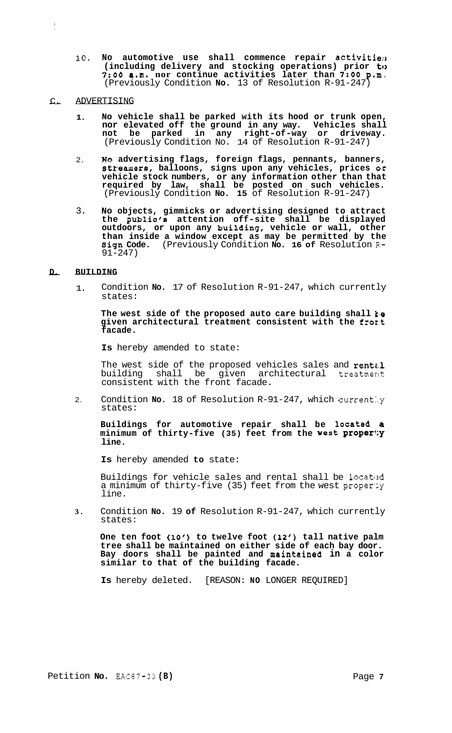10. No automotive use shall commence repair activitie<sub>(3</sub> **(including delivery and stocking operations) prior to**  *7:OO* **a.m. nor continue activities later than** *7:OO* **p.m,**  (Previously Condition **No.** 13 of Resolution R-91-247)

#### - C. ADVERTISING

- **1. No vehicle shall be parked with its hood or trunk open, nor elevated off the ground in any way. Vehicles shall not be parked in any right-of-way or driveway.**  (Previously Condition No. 14 of Resolution R-91-247)
- 2. **No advertising flags, foreign flags, pennants, banners, stremers, balloons, signs upon any vehicles, prices or vehicle stock numbers, or any information other than that required by law, shall be posted on such vehicles.**  (Previously Condition **No. 15** of Resolution R-91-247)
- 3. **No objects, gimmicks or advertising designed to attract the public's attention off-site shall be displayed outdoors, or upon any building, vehicle or wall, other than inside a window except as may be permitted by the sign Code.** (Previously Condition **No. 16 of** Resolution **R-**91-247)

#### - **D. BUILDING**

1. Condition **No.** 17 of Resolution R-91-247, which currently states:

The west side of the proposed auto care building shall  $k$ e given architectural treatment consistent with the fromt **facade.** 

**Is** hereby amended to state:

The west side of the proposed vehicles sales and rental building shall be given architectural treatmerit consistent with the front facade.

2. Condition **No.** 18 of Resolution R-91-247, which currently states:

**Buildings for automotive repair shall be located a minimum of thirty-five (35) feet from the west pr0perf:Y line.** 

**Is** hereby amended **to** state:

Buildings for vehicle sales and rental shall be located a minimum of thirty-five (35) feet from the west proper'cy line.

**3.**  Condition **No.** 19 **of** Resolution R-91-247, which currently states:

**One ten foot (10') to twelve foot (12') tall native palm tree shall be maintained on either side of each bay door. Bay doors shall be painted and maintained in a color similar to that of the building facade.** 

**Is** hereby deleted. [REASON: **NO** LONGER REQUIRED]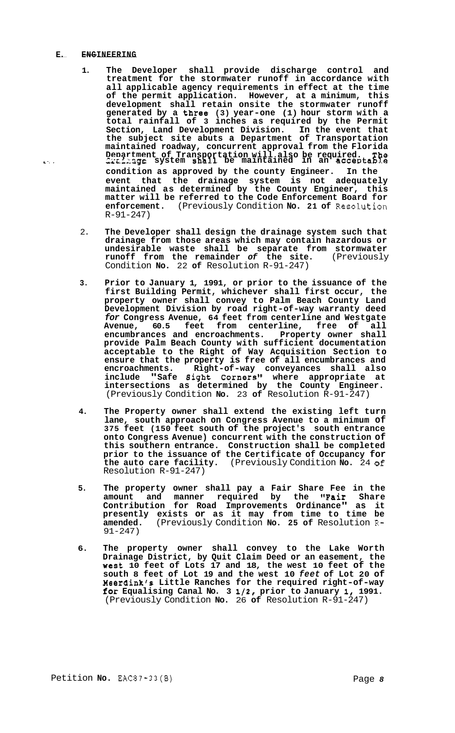#### **<sup>L</sup>E.** -**ENGINEERING** --

- **1. The Developer shall provide discharge control and treatment for the stormwater runoff in accordance with all applicable agency requirements in effect at the time of the permit application. However, at a minimum, this development shall retain onsite the stormwater runoff generated by a three (3) year-one (1) hour storm with a total rainfall of 3 inches as required by the Permit Section, Land Development Division. In the event that the subject site abuts a Department of Transportation maintained roadway, concurrent approval from the Florida Department of Transportation will also be required. The <br>2zzzage system shall be maintained in an acceptable condition as approved by the county Engineer. In the event that the drainage system is not adequately maintained as determined by the County Engineer, this matter will be referred to the Code Enforcement Board for enforcement.** (Previously Condition **No. 21 of** Resolution R-91-247)
	- 2. **The Developer shall design the drainage system such that drainage from those areas which may contain hazardous or undesirable waste shall be separate from stormwater runoff from the remainder** *of* **the site.** (Previously Condition **No.** 22 **of** Resolution R-91-247)
	- **3. Prior to January 1, 1991, or prior to the issuance of the first Building Permit, whichever shall first occur, the property owner shall convey to Palm Beach County Land Development Division by road right-of-way warranty deed**  *for* **Congress Avenue, 64 feet from centerline and Westgate Avenue, 60.5 feet from centerline, free of all encumbrances and encroachments. Property owner shall provide Palm Beach County with sufficient documentation acceptable to the Right of Way Acquisition Section to ensure that the property is free of all encumbrances and encroachments. Right-of-way conveyances shall also**  include "Safe 8ight Corners" where appropriate at **intersections as determined by the County Engineer.**  (Previously Condition **No.** 23 **of** Resolution R-91-247)
	- **4. The Property owner shall extend the existing left turn lane, south approach on Congress Avenue to a minimum of 375 feet (150 feet south of the project's south entrance onto Congress Avenue) concurrent with the construction of this southern entrance. Construction shall be completed prior to the issuance of the Certificate of Occupancy for the auto care facility.** (Previously Condition **No.** 24 of Resolution R-91-247)
	- **5. The property owner shall pay a Fair Share Fee in the amount and manner required by the "Fair Share Contribution for Road Improvements Ordinance" as it presently exists or as it may from time to time be amended.** (Previously Condition **No. 25 of** Resolution R-91-247)
	- **6. The property owner shall convey to the Lake Worth Drainage District, by Quit Claim Deed or an easement, the West 10 feet of Lots 17 and 18, the west 10 feet of the south 8 feet of Lot 19 and the west 10** *feet* **of Lot 20 of Meerdink's Little Ranches for the required right-of-way for Equalising Canal No. 3 1/2, prior to January I, 1991.**  (Previously Condition **No.** 26 **of** Resolution R-91-247)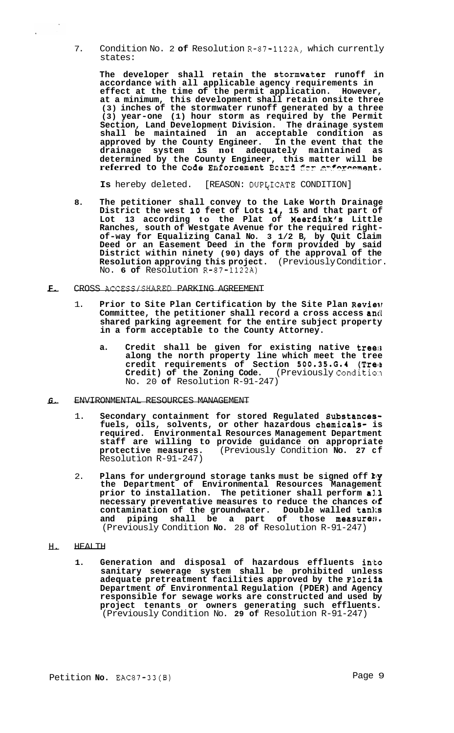7. Condition No. 2 **of** Resolution R-87-1122A, which currently states:

The developer shall retain the stormwater runoff in **accordance with all applicable agency requirements in effect at the time of the permit application. However, at a minimum, this development shall retain onsite three (3) inches of the stormwater runoff generated by a three (3) year-one (1) hour storm as required by the Permit Section, Land Development Division. The drainage system shall be maintained in an acceptable condition as approved by the County Engineer. In the event that the drainage system is not adequately maintained as determined by the County Engineer, this matter will be referred** to the Code Enforcement Beard for anforcemen

Is hereby deleted. [REASON: DUPLICATE CONDITION]

- **8. The petitioner shall convey to the Lake Worth Drainage District the west 10 feet of Lots 14, 15 and that part of Lot 13 according to the Plat of Meerdink's Little Ranches, south of Westgate Avenue for the required right- of-way for Equalizing Canal No. 3 1/2 B, by Quit Claim Deed or an Easement Deed in the form provided by said District within ninety (90) days of the approval of the Resolution approving this project.** (Previously Conditior. Resolution approving this project.<br>No. 6 of Resolution R-87-1122A)<br>F. CROSS ACCESS/SHARED PARKING AGREEMENT
- - 1. **Prior to Site Plan Certification by the Site Plan Reviev**  Committee, the petitioner shall record a cross access and **shared parking agreement for the entire subject property in a form acceptable to the County Attorney.** 
		- **a. Credit shall be given for existing native treefs along the north property line which meet the tree credit requirements of Section 500.35.0.1 (Trelt**  Credit) of the Zoning Code. (Previously Condition No. 20 **of** Resolution R-91-247)
- *G.* ENVIRONMENTAL RESOURCES MANAGEMENT
	- 1. **Secondary containment for stored Regulated Substancesfuels, oils, solvents, or other hazardous chemicals- is required. Environmental Resources Management Department staff are willing to provide guidance on appropriate protective measures.** (Previously Condition **No. 27 cf**  Resolution R-91-247)
	- 2. **Plans for underground storage tanks must be signed off by the Department of Environmental Resources Management prior to installation. The petitioner shall perform al.1 necessary preventative measures to reduce the chances of contamination of the groundwater. Double walled tanks**  and piping shall be a part of those measure<sup>31</sup>. (Previously Condition **No.** 28 **of** Resolution R-91-247)
- H. HEALTH
	- **1. Generation and disposal of hazardous effluents into sanitary sewerage system shall be prohibited unless adequate pretreatment facilities approved by the Flori3a Department** *of* **Environmental Regulation (PDER) and Agency responsible for sewage works are constructed and used by project tenants or owners generating such effluents.**  (Previously Condition No. **29 of** Resolution R-91-247)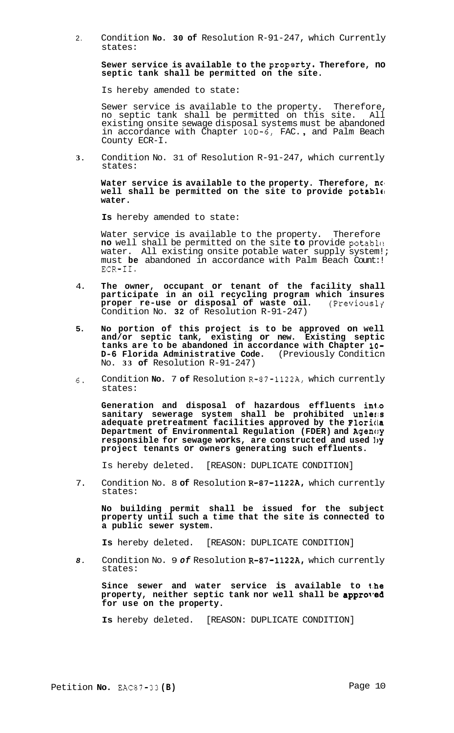2. Condition **NO. 30 of** Resolution R-91-247, which Currently states:

**Sewer service is available to the proparty. Therefore, no septic tank shall be permitted on the site.** 

Is hereby amended to state:

Sewer service is available to the property. Therefore, no septic tank shall be permitted on this site. All existing onsite sewage disposal systems must be abandoned in accordance with Chapter 10D-6, FAC. , and Palm Beach County ECR-I.

**3.** Condition No. 31 of Resolution R-91-247, which currently states:

Water service is available to the property. Therefore,  $\boldsymbol{n}$ **well shall be permitted on the site to provide potable, water.** 

**Is** hereby amended to state:

Water service is available to the property. Therefore **no** well shall be permitted on the site to provide potable water. All existing onsite potable water supply system!; must **be** abandoned in accordance with Palm Beach Count:! ECR-11.

- 4. **The owner, occupant or tenant of the facility shall participate in an oil recycling program which insures proper re-use or disposal of waste oil.** (Previouslq Condition No. **32** of Resolution R-91-247)
- **5. No portion of this project is to be approved on well and/or septic tank, existing or new. Existing septic tanks are to be abandoned in accordance with Chapter 10- D-6 Florida Administrative Code.** (Previously Conditicn No. **33 of** Resolution R-91-247)
- 6. Condition **No.** 7 of Resolution R-87-1122A, which currently states:

**Generation and disposal of hazardous effluents in4.o sanitary sewerage system shall be prohibited unleris adequate pretreatment facilities approved by the Floriila Department of Environmental Regulation (FDER) and Agenc:y responsible for sewage works, are constructed and used 1,y project tenants or owners generating such effluents.** 

Is hereby deleted. [REASON: DUPLICATE CONDITION]

7. Condition No. 8 of Resolution R-87-1122A, which currently states:

**No building permit shall be issued for the subject property until such a time that the site is connected to a public sewer system.** 

**Is** hereby deleted. [REASON: DUPLICATE CONDITION]

*8.* Condition No. 9 *of* Resolution R-87-1122A, which currently states:

Since sewer and water service is available to the **property, neither septic tank nor well shall be approTred for use on the property.** 

**Is** hereby deleted. [REASON: DUPLICATE CONDITION]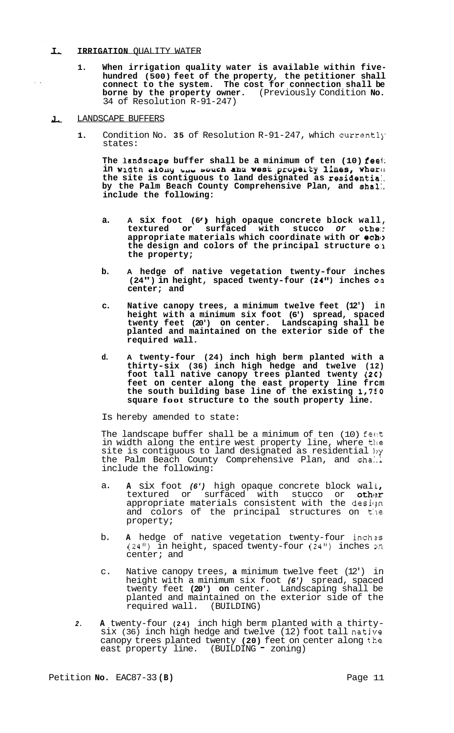#### **I. IRRIGATION OUALITY WATER**

- **1. When irrigation quality water is available within five- hundred (500) feet of the property, the petitioner shall connect to the system. The cost for connection shall be borne by the property owner.** (Previously Condition **No.**  34 of Resolution R-91-247)
- **J.**  LANDSCAPE BUFFERS

 $\mathbf{L}$ 

**1.** Condition No. **35** of Resolution R-91-247, which currentl]' states:

**The lanascape buffer shall be a minimum of ten (10) feel;**  in width along the souch and west property lines, where **the site is contiguous to land designated as residentia:. by the Palm Beach County Comprehensive Plan, and shal:. include the following:** 

- **a. A six foot (6** I) **high opaque concrete block wall, textured or surfaced with stucco** *or* **othe:: appropriate materials which coordinate with or echl> the design and colors of the principal structure 0:1 the property;**
- **b. A hedge of native vegetation twenty-four inches**  (24") in height, spaced twenty-four (24") inches on **center; and**
- **c. Native canopy trees, a minimum twelve feet (12') in height with a minimum six foot (6') spread, spaced twenty feet (20') on center. Landscaping shall be planted and maintained on the exterior side of the required wall.**
- **d. A twenty-four (24) inch high berm planted with a thirty-six (36) inch high hedge and twelve (12) foot tall native canopy trees planted twenty (2C) feet on center along the east property line frcm the south building base line of the existing 1,750 square foot structure to the south property line.**

Is hereby amended to state:

The landscape buffer shall be a minimum of ten (10) feat in width along the entire west property line, where the site is contiguous to land designated as residential by the Palm Beach County Comprehensive Plan, and shall include the following:

- a. **A** six foot (6') high opaque concrete block wall, textured or surfaced with stucco or other appropriate materials consistent with the design and colors of the principal structures on the property;
- b. **A** hedge of native vegetation twenty-four inch as (24") in height, spaced twenty-four  $(24")$  inches on center; and
- c. Native canopy trees, **a** minimum twelve feet (12') in height with a minimum six foot *(6')* spread, spaced twenty feet **(20') on** center. Landscaping shall be planted and maintained on the exterior side of the required wall. (BUILDING)
- *2.* **A** twenty-four **(24)** inch high berm planted with a thirty- six (36) inch high hedge and twelve (12) foot tall native canopy trees planted twenty **(20)** feet on center along t.he east property line. (BUILDING - zoning)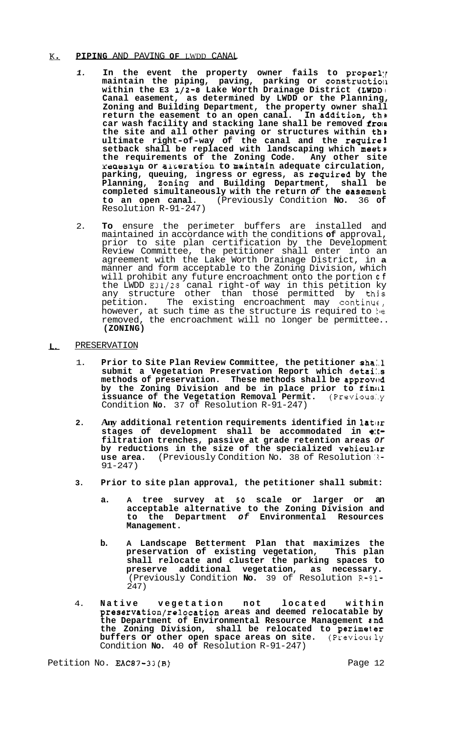#### & **PIPING** AND PAVING **OF** LWDD CANAL

- 1. In the event the property owner fails to properly maintain the piping, paving, parking or construction **within the E3 1/2-8 Lake Worth Drainage District (LWDDI Canal easement, as determined by LWDD or the Planning, Zoning and Building Department, the property owner shall return the easement to an open canal. In addition, th'a**  car wash facility and stacking lane shall be removed from **the site and all other paving or structures within tha ultimate right-of-way of the canal and the require1 setback shall be replaced with landscaping which meets the requirements of the Zoning Code. Any other site ratnosi+yn or aireratiou to maintain adequate circulation, parking, queuing, ingress or egress, as required by the Planning, 2oning and Building Department, shall be**  completed simultaneously with the return of the easement<br>to an open canal. (Previously Condition No. 36 of **to an open canal.** (Previously Condition **No.** 36 **of**  Resolution R-91-247)
- 2. **To** ensure the perimeter buffers are installed and maintained in accordance with the conditions **of** approval, prior to site plan certification by the Development Review Committee, the petitioner shall enter into an agreement with the Lake Worth Drainage District, in **a**  manner and form acceptable to the Zoning Division, which will prohibit any future encroachment onto the portion **cf**  the LWDD E31/28 canal right-of way in this petition ky any structure other than those permitted by this petition. The existing encroachment may continually however, at such time as the structure is required to be removed, the encroachment will no longer be permittee.. **(ZONING)**

# - **L. PRESERVATION**

- 1. **Prior to Site Plan Review Committee, the petitioner sha:.l**  submit a Vegetation Preservation Report which detai.s methods of preservation. These methods shall be approved by the Zoning Division and be in place prior to final **issuance of the Vegetation Removal Permit.** (Previous:.y Condition **No.** 37 of Resolution R-91-247)
- 2. Any additional retention requirements identified in later **stages of development shall be accommodated in e:[ filtration trenches, passive at grade retention areas** *or*  by reductions in the size of the specialized vehicular use area. (Previously Condition No. 38 of Resolution  $\mathbb{R}$ -91-247)
- **3. Prior to site plan approval, the petitioner shall submit:** 
	- **a. A tree survey at** *50* **scale or larger or an acceptable alternative to the Zoning Division and to the Department** *of* **Environmental Resources Management.**
	- **b. A Landscape Betterment Plan that maximizes the preservation of existing vegetation, This plan shall relocate and cluster the parking spaces to preserve additional vegetation, as necessary.**  (Previously Condition **No.** 39 of Resolution **R-91-**  247)
- 4. **Native vegetation not located within preservation/relocation areas and deemed relocatable by the Department of Environmental Resource Management and the Zoning Division, shall be relocated to perimeter buffers or other open space areas on site.** (Previous.ly Condition **No.** 40 **of** Resolution R-91-247)

Petition No. EAC87-33(B) Petition No. 2012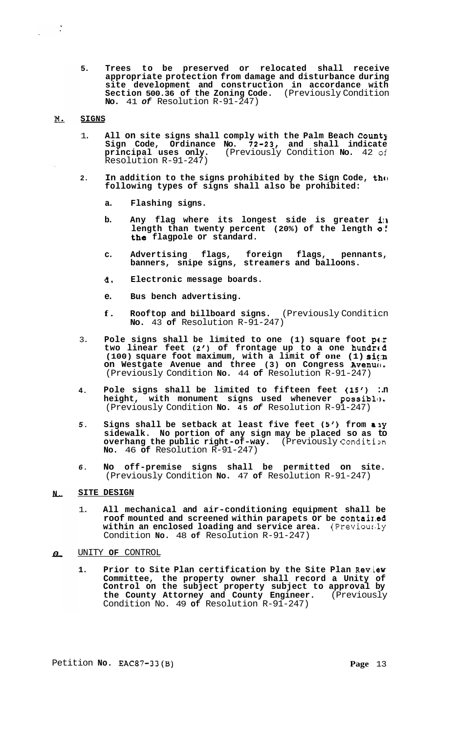**5. Trees to be preserved or relocated shall receive appropriate protection from damage and disturbance during site development and construction in accordance with Section 500.36 of the Zoning Code.** (Previously Condition **No.** 41 *of* Resolution R-91-247)

#### M. **SIGNS**

- 1. **All on site signs shall comply with the Palm Beach Count3 Sign Code, Ordinance No. 72-23, and shall indicate principal uses only.** (Previously Condition **No.** 42 **of**  Resolution R-91-247)
- **2.**  In addition to the signs prohibited by the Sign Code, the **following types of signs shall also be prohibited:** 
	- **a. Flashing signs.**
	- **b. Any flag where its longest side is greater ilk length than twenty percent (20%) of the length 0.f the flagpole or standard.**
	- **c. Advertising flags, foreign flags, pennants, banners, snipe signs, streamers and balloons.**
	- **d. Electronic message boards.**
	- **e. Bus bench advertising.**
	- **f. Rooftop and billboard signs.** (Previously Conditicn **No.** 43 **of** Resolution R-91-247)
- 3. Pole signs shall be limited to one (1) square foot per two linear feet (2') of frontage up to a one hundred **(100) square foot maximum, with a limit of one (1) sign on Westgate Avenue and three (3) on Congress Avenue.** (Previously Condition **No.** 44 **of** Resolution R-91-247)
- **4. Pole signs shall be limited to fifteen feet (15') :.n**  height, with monument signs used whenever possible. (Previously Condition **No. 45** *of* Resolution R-91-247)
- *5.*  Signs shall be setback at least five feet (5') from any **sidewalk. No portion of any sign may be placed so as to overhang the public right-of-way.** (Previously Condition **No.** 46 **of** Resolution R-91-247)
- *6.*  **No off-premise signs shall be permitted on site.**  (Previously Condition **No.** 47 **of** Resolution R-91-247)

#### - **N. SITE DESIGN**

- 1. **All mechanical and air-conditioning equipment shall be roof mounted and screened within parapets or be contaix.ed**  within an enclosed loading and service area. (Previously Condition **No.** 48 **of** Resolution R-91-247)
- *0.*  UNITY **OF** CONTROL
	- **1. Prior to Site Plan certification by the Site Plan Rev.iew Committee, the property owner shall record a Unity of Control on the subject property subject to approval by the County Attorney and County Engineer.** (Previously Condition No. 49 **of** Resolution R-91-247)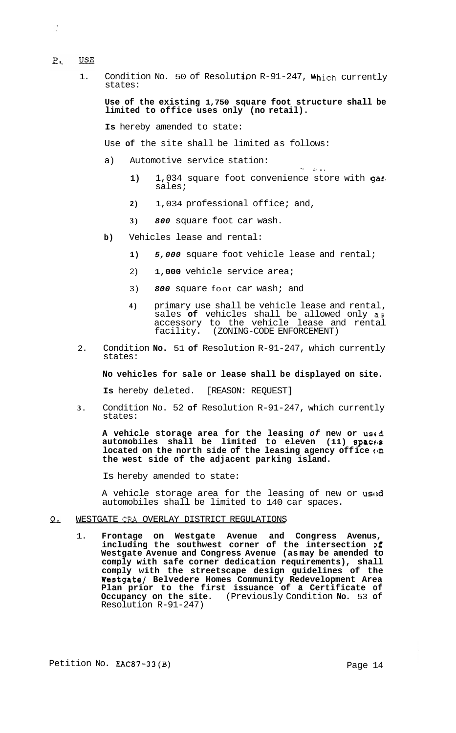#### **USE**  $P_{\bullet}$

 $\frac{1}{2}$ 

1. Condition No. 50 of Resolution R-91-247, which currently states:

**Use of the existing 1,750 square foot structure shall be limited to office uses only (no retail).** 

**Is** hereby amended to state:

Use **of** the site shall be limited as follows:

- a) Automotive service station:
	- **1)** 1,034 square foot convenience store with gas' sales;
	- **2)** 1,034 professional office; and,
	- **3)** *800* square foot car wash.
- **b)** Vehicles lease and rental:
	- **1)** *5,000* square foot vehicle lease and rental;
	- 2) **1,000** vehicle service area;
	- 3) *800* square foot car wash; and
	- **4)** primary use shall be vehicle lease and rental, sales **of** vehicles shall be allowed only **as**  accessory to the vehicle lease and rental facility. (ZONING-CODE ENFORCEMENT)
- 2. Condition **No.** 51 **of** Resolution R-91-247, which currently states:

### **No vehicles for sale or lease shall be displayed on site.**

**Is** hereby deleted. [REASON: REQUEST]

**3.** Condition No. 52 **of** Resolution R-91-247, which currently states:

**A** vehicle storage area for the leasing *of* new or used **automobiles shall be limited to eleven (11) spact:s located on the north side of the leasing agency off ice cm the west side of the adjacent parking island.** 

Is hereby amended to state:

A vehicle storage area for the leasing of new or **used** automobiles shall be limited to 140 car spaces.

#### WESTGATE CRA OVERLAY DISTRICT REGULATIONS <u>Q.</u>

1. **Frontage on Westgate Avenue and Congress Avenus, including the southwest corner of the intersection >f Westgate Avenue and Congress Avenue (as may be amended to comply with safe corner dedication requirements), shall comply with the streetscape design guidelines of the Westgate/ Belvedere Homes Community Redevelopment Area Plan prior to the first issuance of a Certificate of Occupancy on the site.** (Previously Condition **No.** 53 **of**  Resolution R-91-247)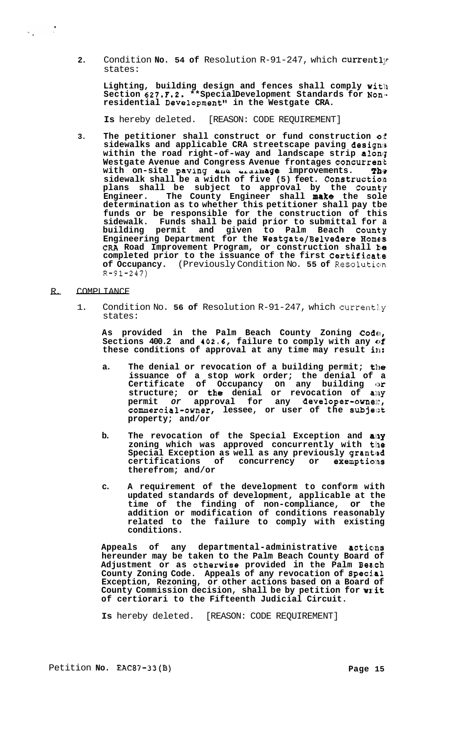2. Condition **No. 54 of** Resolution R-91-247, which currently states:

**Lighting, building design and fences shall comply with**  Section 627.F.2. \*\*SpecialDevelopment Standards for Nonresidential Development" in the Westgate CRA.

**Is** hereby deleted. [REASON: CODE REQUIREMENT]

**3. The petitioner shall construct or fund construction o:€ sidewalks and applicable CRA streetscape paving design:^**  within the road right-of-way and landscape strip along **Westgate Avenue and Congress Avenue frontages concurren\*t With on-site paving and brainage improvements. The sidewalk shall be a width of five (5) feet. Constructio:n plans shall be subject to approval by the Count'y Engineer. The County Engineer shall make the sole determination as to whether this petitioner shall pay tbe funds or be responsible for the construction of this sidewalk. Funds shall be paid prior to submittal for a**  building permit and given to Palm Beach County **Engineering Department for the Westgate/Belvedere Homes** CRA Road Improvement Program, or construction shall ke **completed prior to the issuance of the first Certificat,e**  of Occupancy. (Previously Condition No. 55 of Resolution  $R - 91 - 247$ 

R. COMPLIANCE

 $\omega_{\rm c} \sim 2$ 

1. Condition No. 56 of Resolution R-91-247, which currently states:

**As provided in the Palm Beach County Zoning Codtir, Sections 400.2 and 402.6, failure to comply with any of these conditions of approval at any time may result in:** 

- **a. The denial or revocation of a building permit; the issuance of a stop work order; the denial of a Certificate of Occupancy on any building or**  structure; or the denial or revocation of amy permit or approval for any developer-owne::, **commercial-owner, lessee, or user of the subjelzt property; and/or**
- **b. The revocation of the Special Exception and ally**  zoning which was approved concurrently with the Special Exception as well as any previously granted **certifications of concurrency or exemptio:ns therefrom; and/or**
- **c. A requirement of the development to conform with updated standards of development, applicable at the time of the finding of non-compliance, or the addition or modification of conditions reasonably related to the failure to comply with existing conditions.**

Appeals of any departmental-administrative actions **hereunder may be taken to the Palm Beach County Board of Adjustment or as otherwise provided in the Palm Bea,ch County Zoning Code. Appeals of any revocation of Specj,al Exception, Rezoning, or other actions based on a Board of County Commission decision, shall be by petition for wl:it of certiorari to the Fifteenth Judicial Circuit.** 

**Is** hereby deleted. [REASON: CODE REQUIREMENT]